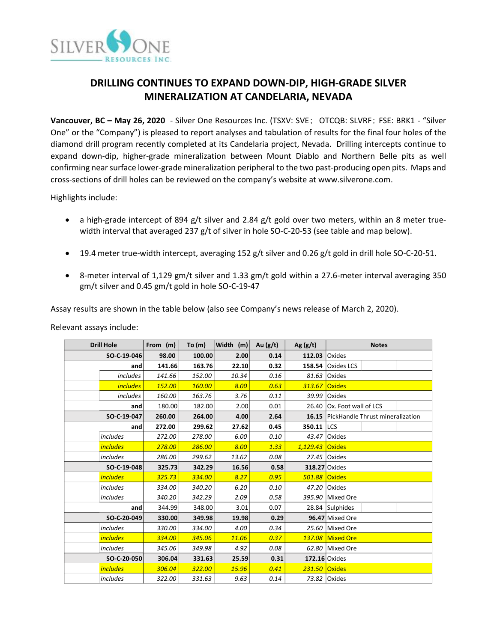

# **DRILLING CONTINUES TO EXPAND DOWN-DIP, HIGH-GRADE SILVER MINERALIZATION AT CANDELARIA, NEVADA**

**Vancouver, BC – May 26, 2020** - Silver One Resources Inc. (TSXV: SVE; OTCQB: SLVRF; FSE: BRK1 - "Silver One" or the "Company") is pleased to report analyses and tabulation of results for the final four holes of the diamond drill program recently completed at its Candelaria project, Nevada. Drilling intercepts continue to expand down-dip, higher-grade mineralization between Mount Diablo and Northern Belle pits as well confirming near surface lower-grade mineralization peripheral to the two past-producing open pits. Maps and cross-sections of drill holes can be reviewed on the company's website at www.silverone.com.

Highlights include:

- a high-grade intercept of 894 g/t silver and 2.84 g/t gold over two meters, within an 8 meter truewidth interval that averaged 237 g/t of silver in hole SO-C-20-53 (see table and map below).
- 19.4 meter true-width intercept, averaging 152 g/t silver and 0.26 g/t gold in drill hole SO-C-20-51.
- 8-meter interval of 1,129 gm/t silver and 1.33 gm/t gold within a 27.6-meter interval averaging 350 gm/t silver and 0.45 gm/t gold in hole SO-C-19-47

Assay results are shown in the table below (also see Company's news release of March 2, 2020).

| <b>Drill Hole</b> |                 | From (m) | To $(m)$ | Width (m) | Au $(g/t)$ | Ag $(g/t)$      | <b>Notes</b>                           |
|-------------------|-----------------|----------|----------|-----------|------------|-----------------|----------------------------------------|
| SO-C-19-046       |                 | 98.00    | 100.00   | 2.00      | 0.14       | 112.03 Oxides   |                                        |
|                   | and             | 141.66   | 163.76   | 22.10     | 0.32       | 158.54          | <b>Oxides LCS</b>                      |
|                   | includes        | 141.66   | 152.00   | 10.34     | 0.16       |                 | 81.63 Oxides                           |
|                   | <i>includes</i> | 152.00   | 160.00   | 8.00      | 0.63       | 313.67          | <b>Oxides</b>                          |
|                   | includes        | 160.00   | 163.76   | 3.76      | 0.11       |                 | 39.99 Oxides                           |
|                   | and             | 180.00   | 182.00   | 2.00      | 0.01       |                 | 26.40 Ox. Foot wall of LCS             |
| SO-C-19-047       |                 | 260.00   | 264.00   | 4.00      | 2.64       |                 | 16.15 PickHandle Thrust mineralization |
|                   | and             | 272.00   | 299.62   | 27.62     | 0.45       | 350.11          | <b>LCS</b>                             |
|                   | <i>includes</i> | 272.00   | 278.00   | 6.00      | 0.10       |                 | 43.47 Oxides                           |
|                   | <i>includes</i> | 278.00   | 286.00   | 8.00      | 1.33       | 1,129.43 Oxides |                                        |
|                   | <i>includes</i> | 286.00   | 299.62   | 13.62     | 0.08       |                 | 27.45 Oxides                           |
|                   | SO-C-19-048     | 325.73   | 342.29   | 16.56     | 0.58       | 318.27 Oxides   |                                        |
|                   | <i>includes</i> | 325.73   | 334.00   | 8.27      | 0.95       | 501.88 Oxides   |                                        |
|                   | <i>includes</i> | 334.00   | 340.20   | 6.20      | 0.10       |                 | 47.20 Oxides                           |
|                   | <i>includes</i> | 340.20   | 342.29   | 2.09      | 0.58       |                 | 395.90 Mixed Ore                       |
|                   | and             | 344.99   | 348.00   | 3.01      | 0.07       |                 | 28.84 Sulphides                        |
|                   | SO-C-20-049     | 330.00   | 349.98   | 19.98     | 0.29       |                 | 96.47 Mixed Ore                        |
|                   | includes        | 330.00   | 334.00   | 4.00      | 0.34       |                 | 25.60 Mixed Ore                        |
|                   | <i>includes</i> | 334.00   | 345.06   | 11.06     | 0.37       |                 | <b>137.08 Mixed Ore</b>                |
|                   | <i>includes</i> | 345.06   | 349.98   | 4.92      | 0.08       |                 | 62.80 Mixed Ore                        |
|                   | SO-C-20-050     | 306.04   | 331.63   | 25.59     | 0.31       | 172.16 Oxides   |                                        |
|                   | <i>includes</i> | 306.04   | 322.00   | 15.96     | 0.41       | $231.50$ Oxides |                                        |
|                   | includes        | 322.00   | 331.63   | 9.63      | 0.14       |                 | 73.82 Oxides                           |

Relevant assays include: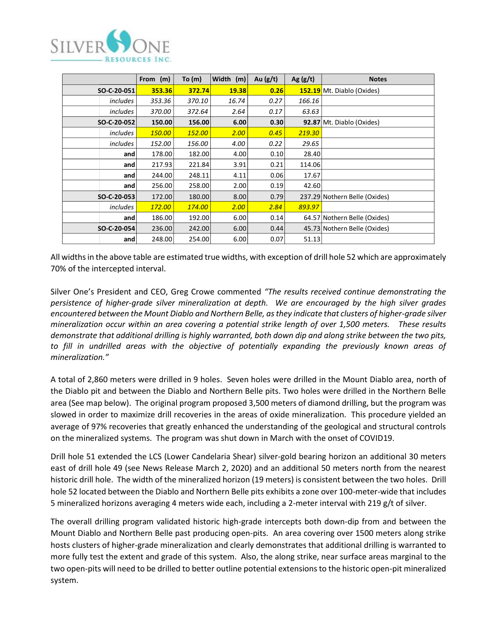

|                 | From (m) | To $(m)$ | Width (m) | Au $(g/t)$ | Ag $(g/t)$ | <b>Notes</b>                      |
|-----------------|----------|----------|-----------|------------|------------|-----------------------------------|
| SO-C-20-051     | 353.36   | 372.74   | 19.38     | 0.26       |            | <b>152.19</b> Mt. Diablo (Oxides) |
| includes        | 353.36   | 370.10   | 16.74     | 0.27       | 166.16     |                                   |
| includes        | 370.00   | 372.64   | 2.64      | 0.17       | 63.63      |                                   |
| SO-C-20-052     | 150.00   | 156.00   | 6.00      | 0.30       |            | 92.87 Mt. Diablo (Oxides)         |
| <i>includes</i> | 150.00   | 152.00   | 2.00      | 0.45       | 219.30     |                                   |
| <i>includes</i> | 152.00   | 156.00   | 4.00      | 0.22       | 29.65      |                                   |
| and             | 178.00   | 182.00   | 4.00      | 0.10       | 28.40      |                                   |
| and             | 217.93   | 221.84   | 3.91      | 0.21       | 114.06     |                                   |
| and             | 244.00   | 248.11   | 4.11      | 0.06       | 17.67      |                                   |
| and             | 256.00   | 258.00   | 2.00      | 0.19       | 42.60      |                                   |
| SO-C-20-053     | 172.00   | 180.00   | 8.00      | 0.79       |            | 237.29 Nothern Belle (Oxides)     |
| includes        | 172.00   | 174.00   | 2.00      | 2.84       | 893.97     |                                   |
| and             | 186.00   | 192.00   | 6.00      | 0.14       |            | 64.57 Nothern Belle (Oxides)      |
| SO-C-20-054     | 236.00   | 242.00   | 6.00      | 0.44       |            | 45.73 Nothern Belle (Oxides)      |
| and             | 248.00   | 254.00   | 6.00      | 0.07       | 51.13      |                                   |

All widths in the above table are estimated true widths, with exception of drill hole 52 which are approximately 70% of the intercepted interval.

Silver One's President and CEO, Greg Crowe commented *"The results received continue demonstrating the persistence of higher-grade silver mineralization at depth. We are encouraged by the high silver grades encountered between the Mount Diablo and Northern Belle, as they indicate that clusters of higher-grade silver mineralization occur within an area covering a potential strike length of over 1,500 meters. These results demonstrate that additional drilling is highly warranted, both down dip and along strike between the two pits, to fill in undrilled areas with the objective of potentially expanding the previously known areas of mineralization."* 

A total of 2,860 meters were drilled in 9 holes. Seven holes were drilled in the Mount Diablo area, north of the Diablo pit and between the Diablo and Northern Belle pits. Two holes were drilled in the Northern Belle area (See map below). The original program proposed 3,500 meters of diamond drilling, but the program was slowed in order to maximize drill recoveries in the areas of oxide mineralization. This procedure yielded an average of 97% recoveries that greatly enhanced the understanding of the geological and structural controls on the mineralized systems. The program was shut down in March with the onset of COVID19.

Drill hole 51 extended the LCS (Lower Candelaria Shear) silver-gold bearing horizon an additional 30 meters east of drill hole 49 (see News Release March 2, 2020) and an additional 50 meters north from the nearest historic drill hole. The width of the mineralized horizon (19 meters) is consistent between the two holes. Drill hole 52 located between the Diablo and Northern Belle pits exhibits a zone over 100-meter-wide that includes 5 mineralized horizons averaging 4 meters wide each, including a 2-meter interval with 219 g/t of silver.

The overall drilling program validated historic high-grade intercepts both down-dip from and between the Mount Diablo and Northern Belle past producing open-pits. An area covering over 1500 meters along strike hosts clusters of higher-grade mineralization and clearly demonstrates that additional drilling is warranted to more fully test the extent and grade of this system. Also, the along strike, near surface areas marginal to the two open-pits will need to be drilled to better outline potential extensions to the historic open-pit mineralized system.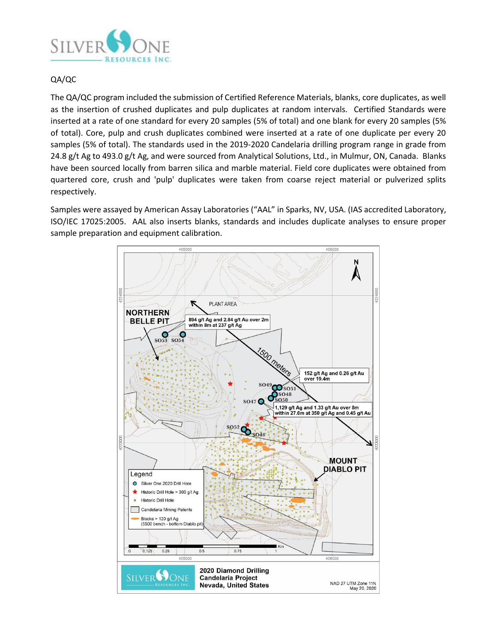

## QA/QC

The QA/QC program included the submission of Certified Reference Materials, blanks, core duplicates, as well as the insertion of crushed duplicates and pulp duplicates at random intervals. Certified Standards were inserted at a rate of one standard for every 20 samples (5% of total) and one blank for every 20 samples (5% of total). Core, pulp and crush duplicates combined were inserted at a rate of one duplicate per every 20 samples (5% of total). The standards used in the 2019-2020 Candelaria drilling program range in grade from 24.8 g/t Ag to 493.0 g/t Ag, and were sourced from Analytical Solutions, Ltd., in Mulmur, ON, Canada. Blanks have been sourced locally from barren silica and marble material. Field core duplicates were obtained from quartered core, crush and 'pulp' duplicates were taken from coarse reject material or pulverized splits respectively.

Samples were assayed by American Assay Laboratories ("AAL" in Sparks, NV, USA. (IAS accredited Laboratory, ISO/IEC 17025:2005. AAL also inserts blanks, standards and includes duplicate analyses to ensure proper sample preparation and equipment calibration.